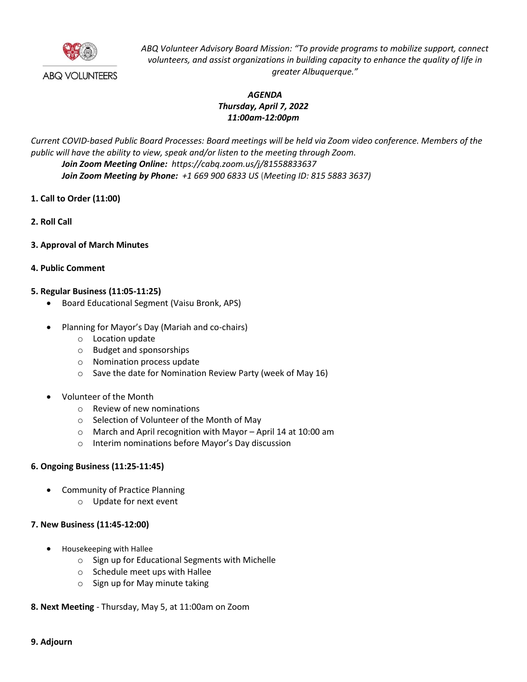

*ABQ Volunteer Advisory Board Mission: "To provide programs to mobilize support, connect volunteers, and assist organizations in building capacity to enhance the quality of life in greater Albuquerque."*

# *AGENDA Thursday, April 7, 2022 11:00am-12:00pm*

*Current COVID-based Public Board Processes: Board meetings will be held via Zoom video conference. Members of the public will have the ability to view, speak and/or listen to the meeting through Zoom. Join Zoom Meeting Online: https://cabq.zoom.us/j/81558833637 Join Zoom Meeting by Phone: +1 669 900 6833 US* **(***Meeting ID: 815 5883 3637)*

- **1. Call to Order (11:00)**
- **2. Roll Call**
- **3. Approval of March Minutes**
- **4. Public Comment**

## **5. Regular Business (11:05-11:25)**

- Board Educational Segment (Vaisu Bronk, APS)
- Planning for Mayor's Day (Mariah and co-chairs)
	- o Location update
	- o Budget and sponsorships
	- o Nomination process update
	- o Save the date for Nomination Review Party (week of May 16)
- Volunteer of the Month
	- o Review of new nominations
	- o Selection of Volunteer of the Month of May
	- o March and April recognition with Mayor April 14 at 10:00 am
	- o Interim nominations before Mayor's Day discussion

## **6. Ongoing Business (11:25-11:45)**

- Community of Practice Planning
	- o Update for next event

## **7. New Business (11:45-12:00)**

- Housekeeping with Hallee
	- o Sign up for Educational Segments with Michelle
	- o Schedule meet ups with Hallee
	- o Sign up for May minute taking
- **8. Next Meeting** Thursday, May 5, at 11:00am on Zoom